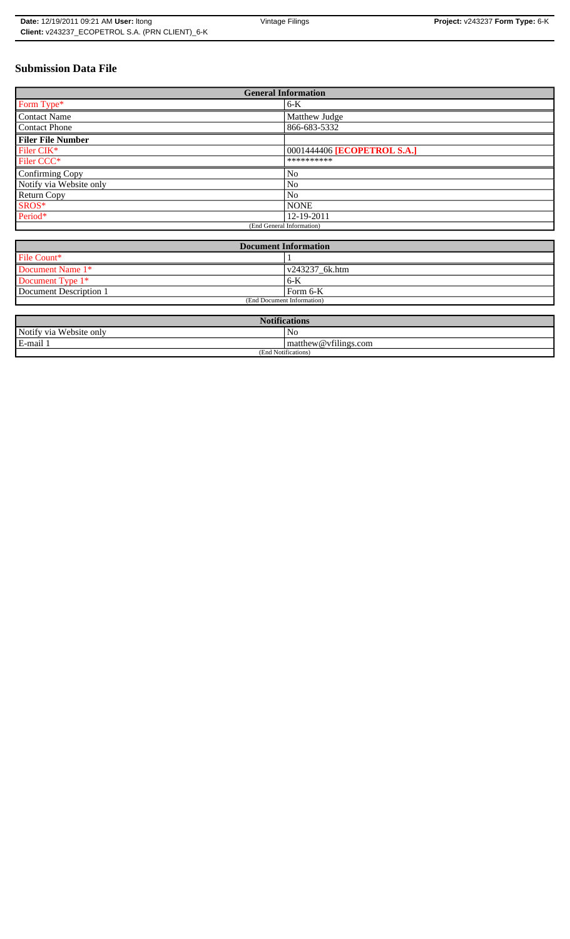# **Submission Data File**

| <b>General Information</b> |                             |  |  |  |
|----------------------------|-----------------------------|--|--|--|
| Form Type*                 | $6-K$                       |  |  |  |
| <b>Contact Name</b>        | Matthew Judge               |  |  |  |
| <b>Contact Phone</b>       | 866-683-5332                |  |  |  |
| <b>Filer File Number</b>   |                             |  |  |  |
| Filer CIK*                 | 0001444406 [ECOPETROL S.A.] |  |  |  |
| Filer CCC*                 | **********                  |  |  |  |
| Confirming Copy            | No                          |  |  |  |
| Notify via Website only    | No                          |  |  |  |
| Return Copy                | N <sub>0</sub>              |  |  |  |
| SROS*                      | <b>NONE</b>                 |  |  |  |
| Period*                    | 12-19-2011                  |  |  |  |
| (End General Information)  |                             |  |  |  |

| Document Information       |                        |  |  |  |
|----------------------------|------------------------|--|--|--|
| File Count*                |                        |  |  |  |
| Document Name 1*           | $\sqrt{243237}$ 6k.htm |  |  |  |
| Document Type 1*           | $6 - K$                |  |  |  |
| Document Description 1     | Form 6-K               |  |  |  |
| (End Document Information) |                        |  |  |  |

| <b>Notifications</b>    |                                |  |  |  |
|-------------------------|--------------------------------|--|--|--|
| Notify via Website only | No                             |  |  |  |
| E-mail 1                | $\vert$ matthew @ vfilings.com |  |  |  |
| (End Notifications)     |                                |  |  |  |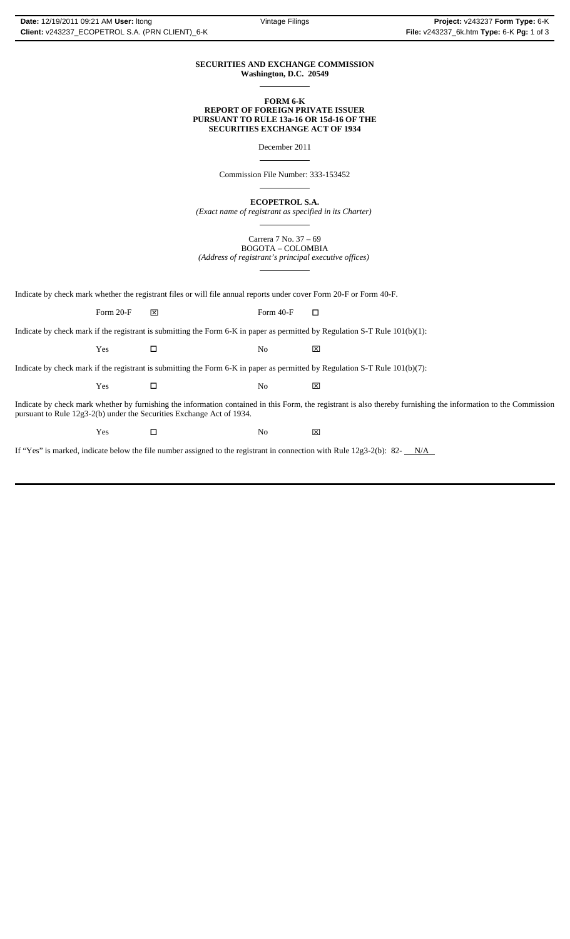### **SECURITIES AND EXCHANGE COMMISSION Washington, D.C. 20549**

 $\overline{a}$ 

 $\overline{a}$ 

 $\overline{a}$ 

**FORM 6-K REPORT OF FOREIGN PRIVATE ISSUER PURSUANT TO RULE 13a-16 OR 15d-16 OF THE SECURITIES EXCHANGE ACT OF 1934**

December 2011

Commission File Number: 333-153452

**ECOPETROL S.A.**

*(Exact name of registrant as specified in its Charter)*  $\overline{a}$ 

> Carrera 7 No. 37 – 69 BOGOTA – COLOMBIA

*(Address of registrant's principal executive offices)*  $\overline{a}$ 

Indicate by check mark whether the registrant files or will file annual reports under cover Form 20-F or Form 40-F.

Form 20-F  $\boxtimes$  Form 40-F  $\Box$ 

Indicate by check mark if the registrant is submitting the Form 6-K in paper as permitted by Regulation S-T Rule 101(b)(1):

Yes □ No ⊠

Indicate by check mark if the registrant is submitting the Form 6-K in paper as permitted by Regulation S-T Rule 101(b)(7):

| Y es | N.<br>שו | __<br>$\overline{v}$<br>ᅜ |
|------|----------|---------------------------|
|      |          |                           |

Indicate by check mark whether by furnishing the information contained in this Form, the registrant is also thereby furnishing the information to the Commission pursuant to Rule 12g3-2(b) under the Securities Exchange Act of 1934.

 $Yes$   $\square$  No  $\boxtimes$ 

If "Yes" is marked, indicate below the file number assigned to the registrant in connection with Rule 12g3-2(b): 82- $N/A$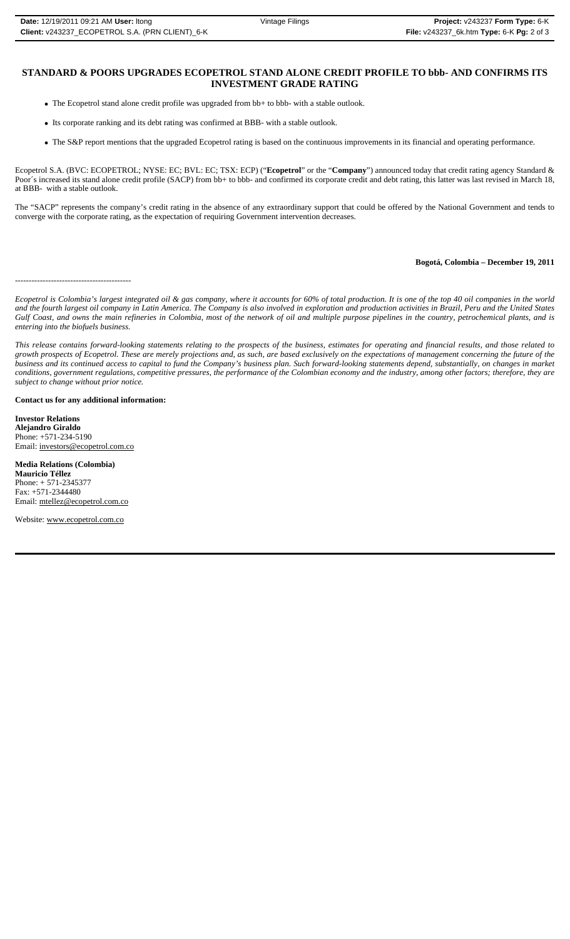# **STANDARD & POORS UPGRADES ECOPETROL STAND ALONE CREDIT PROFILE TO bbb- AND CONFIRMS ITS INVESTMENT GRADE RATING**

- The Ecopetrol stand alone credit profile was upgraded from bb+ to bbb- with a stable outlook.
- Its corporate ranking and its debt rating was confirmed at BBB- with a stable outlook.
- The S&P report mentions that the upgraded Ecopetrol rating is based on the continuous improvements in its financial and operating performance.

Ecopetrol S.A. (BVC: ECOPETROL; NYSE: EC; BVL: EC; TSX: ECP) ("**Ecopetrol**" or the "**Company**") announced today that credit rating agency Standard & Poor's increased its stand alone credit profile (SACP) from bb+ to bbb- and confirmed its corporate credit and debt rating, this latter was last revised in March 18, at BBB- with a stable outlook.

The "SACP" represents the company's credit rating in the absence of any extraordinary support that could be offered by the National Government and tends to converge with the corporate rating, as the expectation of requiring Government intervention decreases.

## **Bogotá, Colombia – December 19, 2011**

------------------------------------------

*Ecopetrol is Colombia's largest integrated oil & gas company, where it accounts for 60% of total production. It is one of the top 40 oil companies in the world and the fourth largest oil company in Latin America. The Company is also involved in exploration and production activities in Brazil, Peru and the United States Gulf Coast, and owns the main refineries in Colombia, most of the network of oil and multiple purpose pipelines in the country, petrochemical plants, and is entering into the biofuels business.*

*This release contains forward-looking statements relating to the prospects of the business, estimates for operating and financial results, and those related to growth prospects of Ecopetrol. These are merely projections and, as such, are based exclusively on the expectations of management concerning the future of the business and its continued access to capital to fund the Company's business plan. Such forward-looking statements depend, substantially, on changes in market conditions, government regulations, competitive pressures, the performance of the Colombian economy and the industry, among other factors; therefore, they are subject to change without prior notice.*

### **Contact us for any additional information:**

**Investor Relations Alejandro Giraldo** Phone: +571-234-5190 Email: investors@ecopetrol.com.co

**Media Relations (Colombia) Mauricio Téllez** Phone: + 571-2345377 Fax: +571-2344480 Email: mtellez@ecopetrol.com.co

Website: www.ecopetrol.com.co